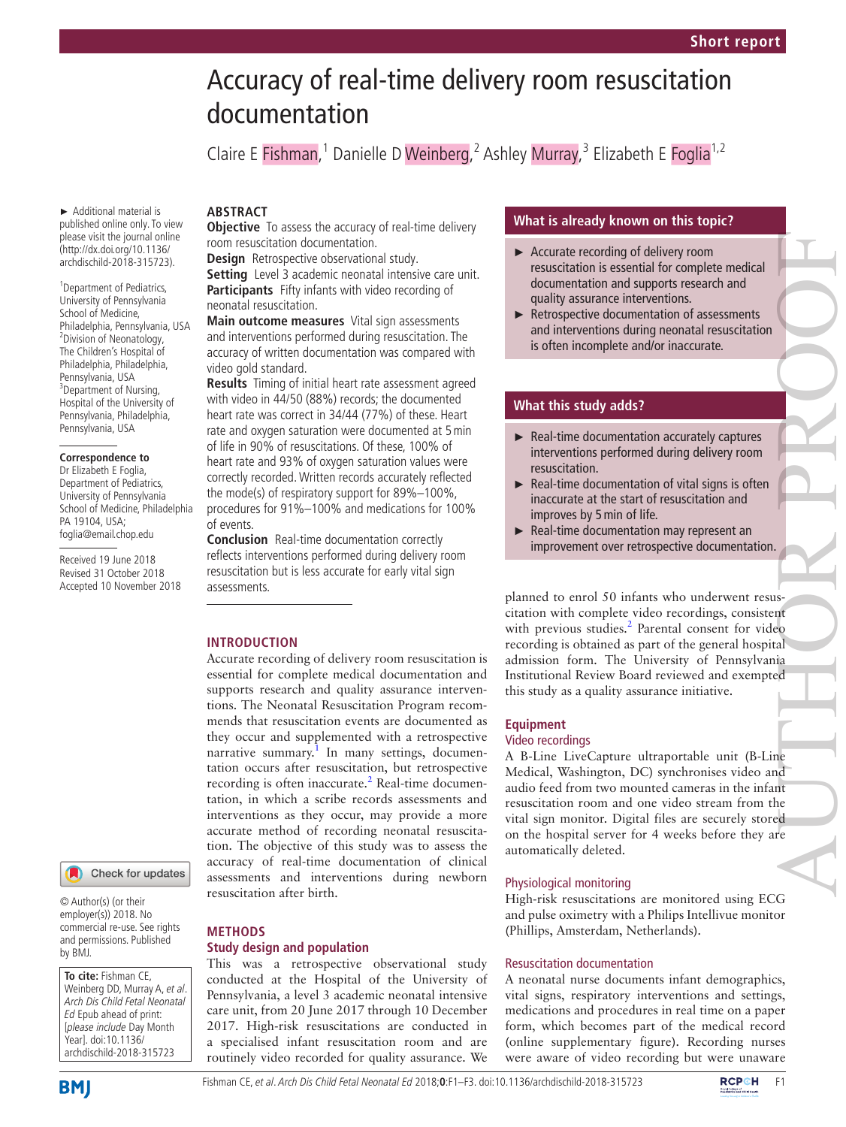# Accuracy of real-time delivery room resuscitation documentation

Claire E Fishman,<sup>1</sup> Danielle D Weinberg,<sup>2</sup> Ashley Murray,<sup>3</sup> Elizabeth E Foglia<sup>1,2</sup>

#### ► Additional material is published online only. To view please visit the journal online (http://dx.doi.org/10.1136/ archdischild-2018-315723).

<sup>1</sup> Department of Pediatrics, University of Pennsylvania School of Medicine, Philadelphia, Pennsylvania, USA 2 Division of Neonatology, The Children's Hospital of Philadelphia, Philadelphia, Pennsylvania, USA <sup>3</sup>Department of Nursing, Hospital of the University of Pennsylvania, Philadelphia, Pennsylvania, USA

#### **Correspondence to**

Dr Elizabeth E Foglia, Department of Pediatrics, University of Pennsylvania School of Medicine, Philadelphia PA 19104, USA; foglia@email.chop.edu

Received 19 June 2018 Revised 31 October 2018 Accepted 10 November 2018

# **ARSTRACT**

**Objective** To assess the accuracy of real-time delivery room resuscitation documentation.

**Design** Retrospective observational study.

**Setting** Level 3 academic neonatal intensive care unit. **Participants** Fifty infants with video recording of neonatal resuscitation.

**Main outcome measures** Vital sign assessments and interventions performed during resuscitation. The accuracy of written documentation was compared with video gold standard.

**Results** Timing of initial heart rate assessment agreed with video in 44/50 (88%) records; the documented heart rate was correct in 34/44 (77%) of these. Heart rate and oxygen saturation were documented at 5min of life in 90% of resuscitations. Of these, 100% of heart rate and 93% of oxygen saturation values were correctly recorded. Written records accurately reflected the mode(s) of respiratory support for 89%–100%, procedures for 91%–100% and medications for 100% of events.

**Conclusion** Real-time documentation correctly reflects interventions performed during delivery room resuscitation but is less accurate for early vital sign assessments.

# **Introduction**

**Methods**

**Study design and population**

Accurate recording of delivery room resuscitation is essential for complete medical documentation and supports research and quality assurance interventions. The Neonatal Resuscitation Program recommends that resuscitation events are documented as they occur and supplemented with a retrospective narrative summary.<sup>[1](#page-2-0)</sup> In many settings, documentation occurs after resuscitation, but retrospective recording is often inaccurate.<sup>[2](#page-2-1)</sup> Real-time documentation, in which a scribe records assessments and interventions as they occur, may provide a more accurate method of recording neonatal resuscitation. The objective of this study was to assess the accuracy of real-time documentation of clinical assessments and interventions during newborn resuscitation after birth.

This was a retrospective observational study conducted at the Hospital of the University of Pennsylvania, a level 3 academic neonatal intensive care unit, from 20 June 2017 through 10 December 2017. High-risk resuscitations are conducted in a specialised infant resuscitation room and are routinely video recorded for quality assurance. We

# Check for updates

© Author(s) (or their employer(s)) 2018. No commercial re-use. See rights and permissions. Published by BMJ.

**To cite:** Fishman CE, Weinberg DD, Murray A, et al. Arch Dis Child Fetal Neonatal Ed Epub ahead of print: [please include Day Month Year]. doi:10.1136/ archdischild-2018-315723

**BMJ** 

#### Fishman CE, et al. Arch Dis Child Fetal Neonatal Ed 2018;**0**:F1–F3. doi:10.1136/archdischild-2018-315723F1

# **What is already known on this topic?**

- ► Accurate recording of delivery room resuscitation is essential for complete medical documentation and supports research and quality assurance interventions.
- ► Retrospective documentation of assessments and interventions during neonatal resuscitation is often incomplete and/or inaccurate.

# **What this study adds?**

- ► Real-time documentation accurately captures interventions performed during delivery room resuscitation.
- $\blacktriangleright$  Real-time documentation of vital signs is often inaccurate at the start of resuscitation and improves by 5min of life.
- ► Real-time documentation may represent an improvement over retrospective documentation.

planned to enrol 50 infants who underwent resuscitation with complete video recordings, consistent with previous studies.<sup>[2](#page-2-1)</sup> Parental consent for video recording is obtained as part of the general hospital admission form. The University of Pennsylvania Institutional Review Board reviewed and exempted this study as a quality assurance initiative. AUTHOR PROPERTY AND THE PARTY OF THE PROPERTY OF THE PROPERTY OF THE PROPERTY OF THE PROPERTY OF THE PROPERTY OF THE PROPERTY OF THE PROPERTY OF THE PROPERTY OF THE PROPERTY OF THE PROPERTY OF THE PROPERTY OF THE PROPERTY

# **Equipment**

# Video recordings

A B-Line LiveCapture ultraportable unit (B-Line Medical, Washington, DC) synchronises video and audio feed from two mounted cameras in the infant resuscitation room and one video stream from the vital sign monitor. Digital files are securely stored on the hospital server for 4 weeks before they are automatically deleted.

## Physiological monitoring

High-risk resuscitations are monitored using ECG and pulse oximetry with a Philips Intellivue monitor (Phillips, Amsterdam, Netherlands).

### Resuscitation documentation

A neonatal nurse documents infant demographics, vital signs, respiratory interventions and settings, medications and procedures in real time on a paper form, which becomes part of the medical record (online [supplementary figure\)](https://dx.doi.org/10.1136/archdischild-2018-315723). Recording nurses were aware of video recording but were unaware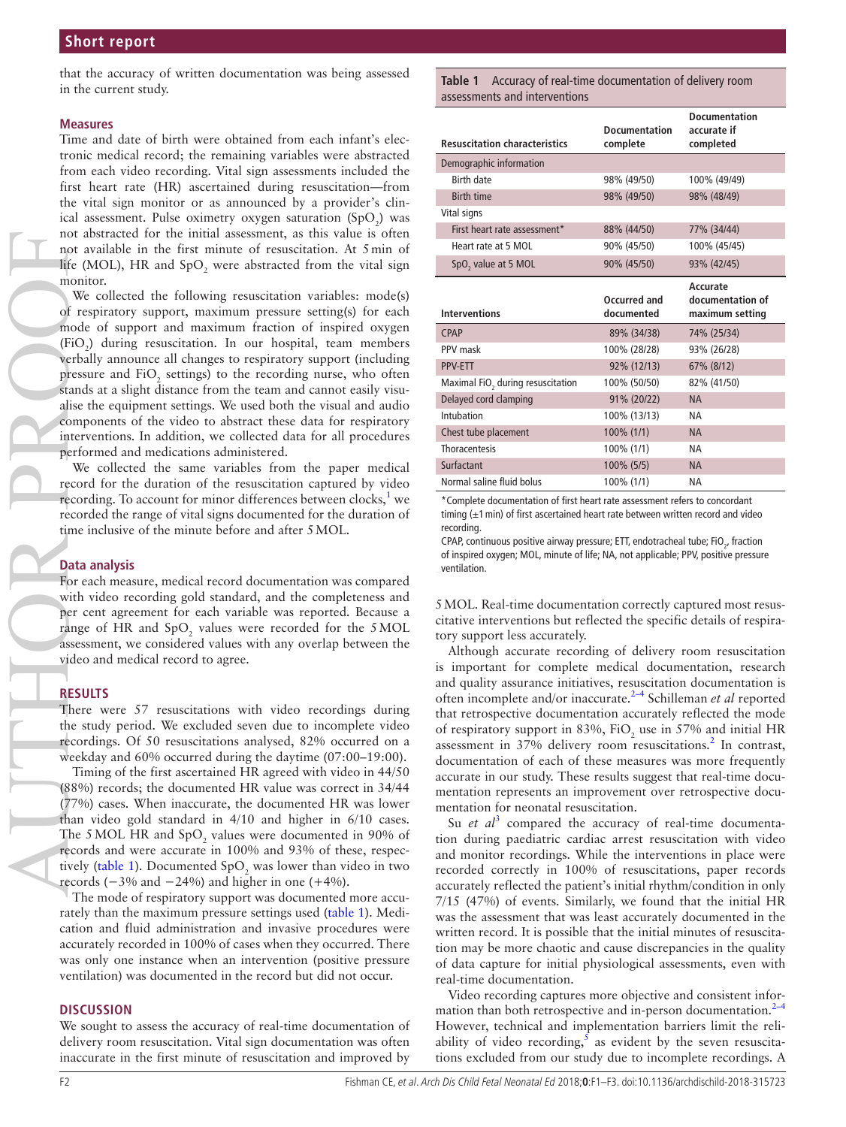that the accuracy of written documentation was being assessed in the current study.

#### **Measures**

Time and date of birth were obtained from each infant's electronic medical record; the remaining variables were abstracted from each video recording. Vital sign assessments included the first heart rate (HR) ascertained during resuscitation—from the vital sign monitor or as announced by a provider's clinical assessment. Pulse oximetry oxygen saturation  $(SpO<sub>2</sub>)$  was not abstracted for the initial assessment, as this value is often not available in the first minute of resuscitation. At 5min of life (MOL), HR and  $SpO<sub>2</sub>$  were abstracted from the vital sign monitor.

We collected the following resuscitation variables: mode(s) of respiratory support, maximum pressure setting(s) for each mode of support and maximum fraction of inspired oxygen  $(FiO<sub>2</sub>)$  during resuscitation. In our hospital, team members verbally announce all changes to respiratory support (including pressure and  $FiO_2$  settings) to the recording nurse, who often stands at a slight distance from the team and cannot easily visualise the equipment settings. We used both the visual and audio components of the video to abstract these data for respiratory interventions. In addition, we collected data for all procedures performed and medications administered. AUTHOR PROPERTY AND PROPERTY OF THE TWO CONDUCTS OF THE TWO CONDUCTS OF THE TWO CONDUCTS OF THE TWO CONDUCTS OF THE TWO CONDUCTS OF THE TWO CONDUCTS OF THE TWO CONDUCTS OF THE TWO CONDUCTS OF THE TWO CONDUCTS OF THE TWO CO

We collected the same variables from the paper medical record for the duration of the resuscitation captured by video recording. To account for minor differences between clocks, $1$  we recorded the range of vital signs documented for the duration of time inclusive of the minute before and after 5MOL.

#### **Data analysis**

For each measure, medical record documentation was compared with video recording gold standard, and the completeness and per cent agreement for each variable was reported. Because a range of HR and  $SpO<sub>2</sub>$  values were recorded for the 5 MOL assessment, we considered values with any overlap between the video and medical record to agree.

## **Results**

There were 57 resuscitations with video recordings during the study period. We excluded seven due to incomplete video recordings. Of 50 resuscitations analysed, 82% occurred on a weekday and 60% occurred during the daytime (07:00–19:00).

Timing of the first ascertained HR agreed with video in 44/50 (88%) records; the documented HR value was correct in 34/44 (77%) cases. When inaccurate, the documented HR was lower than video gold standard in 4/10 and higher in 6/10 cases. The 5 MOL HR and  $SpO<sub>2</sub>$  values were documented in 90% of records and were accurate in 100% and 93% of these, respectively (table 1). Documented  $SpO_2$  was lower than video in two records  $(-3\% \text{ and } -24\%)$  and higher in one  $(+4\%)$ .

The mode of respiratory support was documented more accurately than the maximum pressure settings used (table 1). Medication and fluid administration and invasive procedures were accurately recorded in 100% of cases when they occurred. There was only one instance when an intervention (positive pressure ventilation) was documented in the record but did not occur.

#### **Discussion**

We sought to assess the accuracy of real-time documentation of delivery room resuscitation. Vital sign documentation was often inaccurate in the first minute of resuscitation and improved by

**Table 1** Accuracy of real-time documentation of delivery room assessments and interventions

| <b>Resuscitation characteristics</b> | <b>Documentation</b><br>complete | <b>Documentation</b><br>accurate if<br>completed |
|--------------------------------------|----------------------------------|--------------------------------------------------|
| Demographic information              |                                  |                                                  |
| <b>Birth date</b>                    | 98% (49/50)                      | 100% (49/49)                                     |
| <b>Birth time</b>                    | 98% (49/50)                      | 98% (48/49)                                      |
| Vital signs                          |                                  |                                                  |
| First heart rate assessment*         | 88% (44/50)                      | 77% (34/44)                                      |
| Heart rate at 5 MOL                  | 90% (45/50)                      | 100% (45/45)                                     |
| SpO <sub>2</sub> value at 5 MOL      | 90% (45/50)                      | 93% (42/45)                                      |
| <b>Interventions</b>                 | Occurred and<br>documented       | Accurate<br>documentation of<br>maximum setting  |
| <b>CPAP</b>                          | 89% (34/38)                      | 74% (25/34)                                      |
| PPV mask                             | 100% (28/28)                     | 93% (26/28)                                      |
| <b>PPV-ETT</b>                       | 92% (12/13)                      | 67% (8/12)                                       |
| Maximal FiO, during resuscitation    | 100% (50/50)                     | 82% (41/50)                                      |
| Delayed cord clamping                | 91% (20/22)                      | <b>NA</b>                                        |
| Intubation                           | 100% (13/13)                     | NА                                               |
| Chest tube placement                 | 100% (1/1)                       | <b>NA</b>                                        |
| Thoracentesis                        | 100% (1/1)                       | <b>NA</b>                                        |
| Surfactant                           | 100% (5/5)                       | <b>NA</b>                                        |
| Normal saline fluid bolus            | 100% (1/1)                       | <b>NA</b>                                        |

\*Complete documentation of first heart rate assessment refers to concordant timing  $(±1$  min) of first ascertained heart rate between written record and video recording.

CPAP, continuous positive airway pressure; ETT, endotracheal tube;  $FIO_{2}$ , fraction of inspired oxygen; MOL, minute of life; NA, not applicable; PPV, positive pressure ventilation.

5MOL. Real-time documentation correctly captured most resuscitative interventions but reflected the specific details of respiratory support less accurately.

Although accurate recording of delivery room resuscitation is important for complete medical documentation, research and quality assurance initiatives, resuscitation documentation is often incomplete and/or inaccurate.[2–4](#page-2-1) Schilleman *et al* reported that retrospective documentation accurately reflected the mode of respiratory support in 83%,  $FiO_2$  use in 57% and initial HR assessment in 37% delivery room resuscitations.<sup>[2](#page-2-1)</sup> In contrast, documentation of each of these measures was more frequently accurate in our study. These results suggest that real-time documentation represents an improvement over retrospective documentation for neonatal resuscitation.

Su *et al*<sup>[3](#page-2-2)</sup> compared the accuracy of real-time documentation during paediatric cardiac arrest resuscitation with video and monitor recordings. While the interventions in place were recorded correctly in 100% of resuscitations, paper records accurately reflected the patient's initial rhythm/condition in only 7/15 (47%) of events. Similarly, we found that the initial HR was the assessment that was least accurately documented in the written record. It is possible that the initial minutes of resuscitation may be more chaotic and cause discrepancies in the quality of data capture for initial physiological assessments, even with real-time documentation.

Video recording captures more objective and consistent information than both retrospective and in-person documentation. $2-4$ However, technical and implementation barriers limit the reliability of video recording,  $\overline{s}$  as evident by the seven resuscitations excluded from our study due to incomplete recordings. A